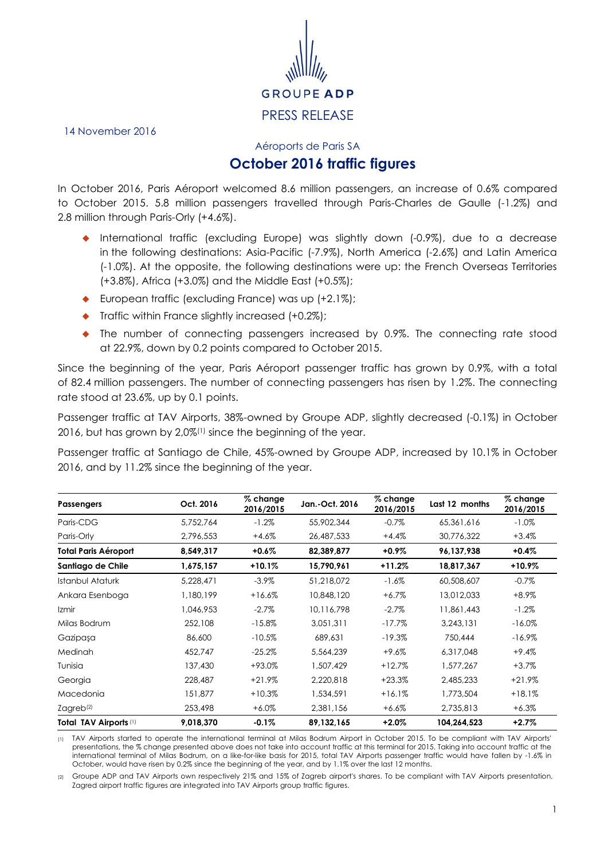

14 November 2016

Aéroports de Paris SA

## **October 2016 traffic figures**

In October 2016, Paris Aéroport welcomed 8.6 million passengers, an increase of 0.6% compared to October 2015. 5.8 million passengers travelled through Paris-Charles de Gaulle (-1.2%) and 2.8 million through Paris-Orly (+4.6%).

- International traffic (excluding Europe) was slightly down (-0.9%), due to a decrease in the following destinations: Asia-Pacific (-7.9%), North America (-2.6%) and Latin America (-1.0%). At the opposite, the following destinations were up: the French Overseas Territories (+3.8%), Africa (+3.0%) and the Middle East (+0.5%);
- ◆ European traffic (excluding France) was up (+2.1%);
- $\bullet$  Traffic within France slightly increased  $(+0.2\%)$ ;
- The number of connecting passengers increased by 0.9%. The connecting rate stood at 22.9%, down by 0.2 points compared to October 2015.

Since the beginning of the year, Paris Aéroport passenger traffic has grown by 0.9%, with a total of 82.4 million passengers. The number of connecting passengers has risen by 1.2%. The connecting rate stood at 23.6%, up by 0.1 points.

Passenger traffic at TAV Airports, 38%-owned by Groupe ADP, slightly decreased (-0.1%) in October 2016, but has grown by 2,0%(1) since the beginning of the year.

Passenger traffic at Santiago de Chile, 45%-owned by Groupe ADP, increased by 10.1% in October 2016, and by 11.2% since the beginning of the year.

| <b>Passengers</b>           | Oct. 2016 | $%$ change<br>2016/2015 | Jan.-Oct. 2016 | $%$ change<br>2016/2015 | Last 12 months | % change<br>2016/2015 |
|-----------------------------|-----------|-------------------------|----------------|-------------------------|----------------|-----------------------|
| Paris-CDG                   | 5,752,764 | $-1.2%$                 | 55,902,344     | $-0.7%$                 | 65.361.616     | $-1.0%$               |
| Paris-Orly                  | 2,796,553 | $+4.6\%$                | 26,487,533     | $+4.4%$                 | 30,776,322     | $+3.4%$               |
| <b>Total Paris Aéroport</b> | 8,549,317 | +0.6%                   | 82,389,877     | +0.9%                   | 96,137,938     | $+0.4%$               |
| Santiago de Chile           | 1,675,157 | $+10.1%$                | 15,790,961     | $+11.2%$                | 18,817,367     | $+10.9%$              |
| <b>Istanbul Ataturk</b>     | 5,228,471 | $-3.9\%$                | 51,218,072     | $-1.6%$                 | 60,508,607     | $-0.7%$               |
| Ankara Esenboga             | 1,180,199 | $+16.6%$                | 10,848,120     | $+6.7\%$                | 13,012,033     | $+8.9\%$              |
| Izmir                       | 1,046,953 | $-2.7\%$                | 10,116,798     | $-2.7%$                 | 11,861,443     | $-1.2\%$              |
| Milas Bodrum                | 252,108   | $-15.8%$                | 3,051,311      | $-17.7%$                | 3,243,131      | $-16.0\%$             |
| Gazipaşa                    | 86,600    | $-10.5%$                | 689,631        | $-19.3%$                | 750,444        | $-16.9%$              |
| Medinah                     | 452,747   | $-25.2%$                | 5,564,239      | $+9.6%$                 | 6,317,048      | +9.4%                 |
| Tunisia                     | 137,430   | +93.0%                  | 1,507,429      | $+12.7%$                | 1,577,267      | $+3.7%$               |
| Georgia                     | 228,487   | $+21.9%$                | 2,220,818      | $+23.3%$                | 2,485,233      | $+21.9%$              |
| Macedonia                   | 151,877   | $+10.3%$                | 1,534,591      | $+16.1%$                | 1,773,504      | $+18.1%$              |
| Zagreb <sup>(2)</sup>       | 253,498   | $+6.0%$                 | 2,381,156      | $+6.6\%$                | 2,735,813      | $+6.3%$               |
| Total TAV Airports (1)      | 9,018,370 | $-0.1%$                 | 89,132,165     | +2.0%                   | 104,264,523    | $+2.7%$               |

(1) TAV Airports started to operate the international terminal at Milas Bodrum Airport in October 2015. To be compliant with TAV Airports' presentations, the % change presented above does not take into account traffic at this terminal for 2015. Taking into account traffic at the international terminal of Milas Bodrum, on a like-for-like basis for 2015, total TAV Airports passenger traffic would have fallen by -1.6% in October, would have risen by 0.2% since the beginning of the year, and by 1.1% over the last 12 months.

(2) Groupe ADP and TAV Airports own respectively 21% and 15% of Zagreb airport's shares. To be compliant with TAV Airports presentation, Zagred airport traffic figures are integrated into TAV Airports group traffic figures.